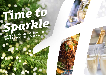# *Time to [Sparkle](https://leeds-brighouse.hichristmas.co.uk) Book your Christmas Party and Events*

*at Holiday Inn® Leeds - Brighouse*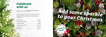Why not join us at the Holiday Inn Leeds - Brighouse to celebrate Christmas 2022 in style?

Whether you're looking to organise a spectacular Christmas party for colleagues, a festive night out for friends or a celebratory feast with loved ones, we've got the perfect package for you.

### *Celebrate with us*



2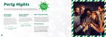#### *All Inclusive Party Night*

Our all-inclusive party nights include everything you need for the perfect festive night out! Enjoy a three-course meal, disco and drinks throughout the evening. The bar will offer you plenty of choice from house wine, house spirits & mixers, draught lager/beer, selected alcopops and soft drinks all included in the price. The all-inclusive bar is available from 8pm - 12am

A glass of chilled fizz will be waiting for you upon arrival at our festive party night. Enjoy a three course meal and then dance the night away with our DJ who will take you through the decades with all the partu classics!

**£54.95 per adult**

**Fridays: 25th November, 2nd December & 20th January**

**Fridays: 9th & 16th December** Saturdays: 3<sup>rd</sup>, 10<sup>th</sup> & 17<sup>th</sup> December

# *[Party Nights](https://leeds-brighouse.hichristmas.co.uk)*

Join us for an amazing Christmas party atmosphere at one of our festive party nights. Our function rooms can accommodate up to 300 guests and feature private dancefloor and bar area.

#### *Dance Through the Decades*

**£32.95 per adult**



*Meet, Stay and Party*

Work, rest and play! Join us throughout November, December or January with your colleagues for a full-day meeting, your choice of celebration in the

evening, overnight accommodation and breakfast the following day. Plan your end-of-year meeting today! Please enquire for availability and pricing.

#### *Private Parties*

From intimate family gatherings to large corporate parties, we have functions rooms available to hire based on your requirements. Please contact us so we can help you plan your perfect celebration. Minimum numbers apply. Prices available upon request. Pre-booking only and subject to availability. Dates sell fast so enquire today!



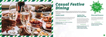### *[Casual Festive](https://leeds-brighouse.hichristmas.co.uk) Dining*

Whether you're looking to organise a spectacular Christmas dinner for colleagues, a festive lunch for friends or a celebratory feast with loved ones, we've got the perfect event for you.

#### *Festive Lunch*

Our festive lunches are perfect for any occasion, whether you want to spend time with family, friends or work colleagues. Includes a glass of fizz upon arrival and a three-course festive meal.

**Available seven days a week. (subject to availability). Pre-booking essential. Call 03333 209 335 opt 4 to book.**

#### *Pizza and Prosecco*

Pizza and Prosecco = Perfect! Book today so you can enjoy a pizza and a glass of Prosecco each in the relaxed atmosphere of our Open Lobby.

#### **£14.95 per person**

#### *Festive Fizz Afternoon Tea*

Enjoy a festive afternoon tea, including tea & coffee and a refreshing glass of fizz! The perfect treat for anyone to enjoy. It also includes a selection of sandwiches, scones with cream & jam and a mouthwatering slice of seasonal cake.

#### **£18.00 per person**



**From £17.95 per person**

**Available every Tuesday and Thursday throughout December at 12pm, 12:30pm and 1pm. Pre-booking essential, available to book online.** 



**Fridays and Sundays throughout December at 5pm, 6pm and 6:30pm. Available to book online.**

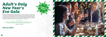### *[Adult's Only](https://leeds-brighouse.hichristmas.co.uk) New Year's Eve Gala*

We have an amazing night planned so you can see in 2023 in style! Let us welcome you with a festive cocktail upon arrival before making your way to the function room, where you will be served an amazing four-course meal with tea and coffee to finish. The night truly begins with a disco until 2am so you can dance the night away. Enjoy a midnight munchie and a glass of Prosecco once the clock strikes 12. 18+ only.

**£64.95 per adult**

*Menu to follow*

*Click to book*

**Our New Year's eve party will be in the Clifton Suite and will start with drinks at 7.30pm, dinner served at 8.00pm, last orders at 1.30am and Carriages at 2.00am**

**Saturday 31st December**

8

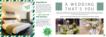#### *Stay With Us*

Why not make a night of it and enjoy our special Christmas rates? Room types include standard double, family and twin. Take advantage of up to 20% off our best flexible, bed and breakfast rate. No deposit required and can be cancelled free of charge up to 48 hours prior to arrival.

### *Gift Vouchers*  $-$  Up to 20% off  $-$

We are excited to share with you the amazing gift vouchers we now have available at Holiday Inn Leeds - Brighouse. From delightful afternoon teas to overnight break packages, there's a gift for everyone. Give the gift of travel this year!



Christmas is such a wonderful time of year, why not consider having a festive wedding celebration? Our weddings are [available all year round and our fantastic wedding team will work with you to ensure you get everything you desire to](http://www.hileedsbrighousehotel.co.uk/weddings)  make your special day a dream come true.



#### Contact us to start creating a wedding that's you, or click to find out more about our weddings



## A WEDDING THAT'S YOU